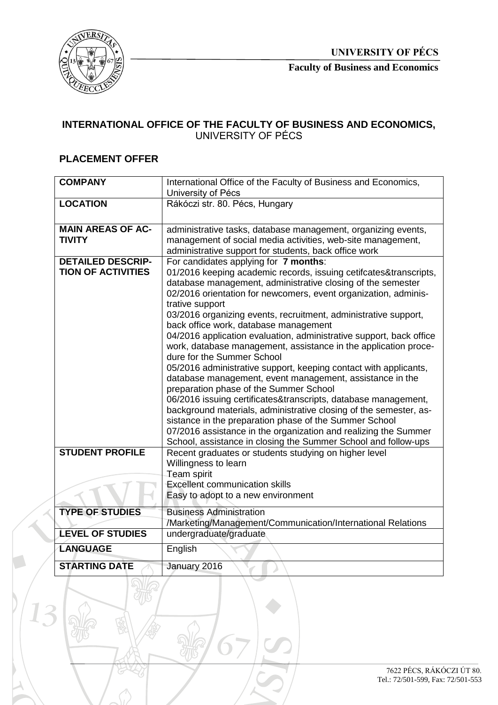

**Faculty of Business and Economics**

## **INTERNATIONAL OFFICE OF THE FACULTY OF BUSINESS AND ECONOMICS,**  UNIVERSITY OF PÉCS

## **PLACEMENT OFFER**

| <b>COMPANY</b>                                        | International Office of the Faculty of Business and Economics,<br>University of Pécs                                                                                                                                                                                                                                                                                                                                                                                                                                                                                                                                                                                                                                                                                                                                                                                                                                                                                                                                                                                |
|-------------------------------------------------------|---------------------------------------------------------------------------------------------------------------------------------------------------------------------------------------------------------------------------------------------------------------------------------------------------------------------------------------------------------------------------------------------------------------------------------------------------------------------------------------------------------------------------------------------------------------------------------------------------------------------------------------------------------------------------------------------------------------------------------------------------------------------------------------------------------------------------------------------------------------------------------------------------------------------------------------------------------------------------------------------------------------------------------------------------------------------|
| <b>LOCATION</b>                                       | Rákóczi str. 80. Pécs, Hungary                                                                                                                                                                                                                                                                                                                                                                                                                                                                                                                                                                                                                                                                                                                                                                                                                                                                                                                                                                                                                                      |
| <b>MAIN AREAS OF AC-</b><br><b>TIVITY</b>             | administrative tasks, database management, organizing events,<br>management of social media activities, web-site management,<br>administrative support for students, back office work                                                                                                                                                                                                                                                                                                                                                                                                                                                                                                                                                                                                                                                                                                                                                                                                                                                                               |
| <b>DETAILED DESCRIP-</b><br><b>TION OF ACTIVITIES</b> | For candidates applying for 7 months:<br>01/2016 keeping academic records, issuing cetifcates&transcripts,<br>database management, administrative closing of the semester<br>02/2016 orientation for newcomers, event organization, adminis-<br>trative support<br>03/2016 organizing events, recruitment, administrative support,<br>back office work, database management<br>04/2016 application evaluation, administrative support, back office<br>work, database management, assistance in the application proce-<br>dure for the Summer School<br>05/2016 administrative support, keeping contact with applicants,<br>database management, event management, assistance in the<br>preparation phase of the Summer School<br>06/2016 issuing certificates&transcripts, database management,<br>background materials, administrative closing of the semester, as-<br>sistance in the preparation phase of the Summer School<br>07/2016 assistance in the organization and realizing the Summer<br>School, assistance in closing the Summer School and follow-ups |
| <b>STUDENT PROFILE</b>                                | Recent graduates or students studying on higher level<br>Willingness to learn<br>Team spirit<br><b>Excellent communication skills</b><br>Easy to adopt to a new environment                                                                                                                                                                                                                                                                                                                                                                                                                                                                                                                                                                                                                                                                                                                                                                                                                                                                                         |
| <b>TYPE OF STUDIES</b>                                | <b>Business Administration</b><br>/Marketing/Management/Communication/International Relations                                                                                                                                                                                                                                                                                                                                                                                                                                                                                                                                                                                                                                                                                                                                                                                                                                                                                                                                                                       |
| <b>LEVEL OF STUDIES</b>                               | undergraduate/graduate                                                                                                                                                                                                                                                                                                                                                                                                                                                                                                                                                                                                                                                                                                                                                                                                                                                                                                                                                                                                                                              |
| <b>LANGUAGE</b>                                       | English                                                                                                                                                                                                                                                                                                                                                                                                                                                                                                                                                                                                                                                                                                                                                                                                                                                                                                                                                                                                                                                             |
| <b>STARTING DATE</b>                                  | January 2016                                                                                                                                                                                                                                                                                                                                                                                                                                                                                                                                                                                                                                                                                                                                                                                                                                                                                                                                                                                                                                                        |